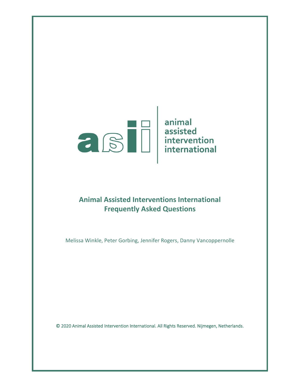

# **Animal Assisted Interventions International Frequently Asked Questions**

Melissa Winkle, Peter Gorbing, Jennifer Rogers, Danny Vancoppernolle

© 2020 Animal Assisted Intervention International. All Rights Reserved. Nijmegen, Netherlands.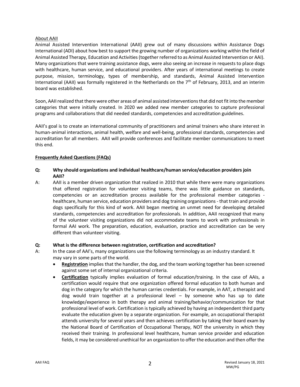#### About AAII

Animal Assisted Intervention International (AAII) grew out of many discussions within Assistance Dogs International (ADI) about how best to support the growing number of organizations working within the field of Animal Assisted Therapy, Education and Activities (together referred to as Animal Assisted Intervention or AAI). Many organizations that were training assistance dogs, were also seeing an increase in requests to place dogs with healthcare, human service, and educational providers. After years of international meetings to create purpose, mission, terminology, types of membership, and standards, Animal Assisted Intervention International (AAII) was formally registered in the Netherlands on the  $7<sup>th</sup>$  of February, 2013, and an interim board was established.

Soon, AAII realized that there were other areas of animal assisted interventions that did not fit into the member categories that were initially created. In 2020 we added new member categories to capture professional programs and collaborations that did needed standards, competencies and accreditation guidelines.

AAII's goal is to create an international community of practitioners and animal trainers who share interest in human-animal interactions, animal health, welfare and well-being, professional standards, competencies and accreditation for all members. AAII will provide conferences and facilitate member communications to meet this end.

## **Frequently Asked Questions (FAQs)**

## **Q: Why should organizations and individual healthcare/human service/education providers join AAII?**

A: AAII is a member driven organization that realized in 2010 that while there were many organizations that offered registration for volunteer visiting teams, there was little guidance on standards, competencies or an accreditation process available for the professional member categories healthcare, human service, education providers and dog training organizations - that train and provide dogs specifically for this kind of work. AAII began meeting an unmet need for developing detailed standards, competencies and accreditation for professionals. In addition, AAII recognized that many of the volunteer visiting organizations did not accommodate teams to work with professionals in formal AAI work. The preparation, education, evaluation, practice and accreditation can be very different than volunteer visiting.

## **Q: What is the difference between registration, certification and accreditation?**

- A: In the case of AAI's, many organizations use the following terminology as an industry standard. It may vary in some parts of the world.
	- **Registration** implies that the handler, the dog, and the team working together has been screened against some set of internal organizational criteria.
	- **Certification** typically implies evaluation of formal education/training. In the case of AAIs, a certification would require that one organization offered formal education to both human and dog in the category for which the human carries credentials. For example, in AAT, a therapist and dog would train together at a professional level – by someone who has up to date knowledge/experience in both therapy and animal training/behavior/communication for that professional level of work. Certification is typically achieved by having an independent third party evaluate the education given by a separate organization. For example, an occupational therapist attends university for several years and then achieves certification by taking their board exam by the National Board of Certification of Occupational Therapy, NOT the university in which they received their training. In professional level healthcare, human service provider and education fields, it may be considered unethical for an organization to offer the education and then offer the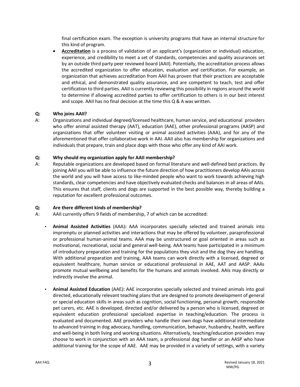final certification exam. The exception is university programs that have an internal structure for this kind of program.

• **Accreditation** is a process of validation of an applicant's (organization or individual) education, experience, and credibility to meet a set of standards, competencies and quality assurances set by an outside third party peer reviewed board (AAII). Potentially, the accreditation process allows the accredited organization to offer education, evaluation and certification. For example, an organization that achieves accreditation from AAII has proven that their practices are acceptable and ethical, and demonstrated quality assurance, and are competent to teach, test and offer certification to third parties. AAII is currently reviewing this possibility in regions around the world to determine if allowing accredited parties to offer certification to others is in our best interest and scope. AAII has no final decision at the time this Q & A was written.

## **Q: Who joins AAII?**

A: Organizations and individual degreed/licensed healthcare, human service, and educational providers who offer animal assisted therapy (AAT), education (AAE), other professional programs (AASP) and organizations that offer volunteer visiting or animal assisted activities (AAA), and for any of the aforementioned that offer collaborative work in AAI. AAII also has membership for organizations and individuals that prepare, train and place dogs with those who offer any kind of AAI work.

## **Q: Why should my organization apply for AAII membership?**

A: Reputable organizations are developed based on formal literature and well-defined best practices. By joining AAII you will be able to influence the future direction of how practitioners develop AAIs across the world and you will have access to like-minded people who want to work towards achieving high standards, clear competencies and have objectively evaluated checks and balances in all areas of AAIs. This ensures that staff, clients and dogs are supported in the best possible way, thereby building a reputation for excellent professional outcomes.

# **Q: Are there different kinds of membership?**

- A: AAII currently offers 9 fields of membership, 7 of which can be accredited:
	- **Animal Assisted Activities** (AAA)**:** AAA incorporates specially selected and trained animals into impromptu or planned activities and interactions that may be offered by volunteer, paraprofessional or professional human-animal teams. AAA may be unstructured or goal oriented in areas such as motivational, recreational, social and general well-being. AAA teams have participated in a minimum of introductory preparation and training for the populations they visit and the dog they are handling. With additional preparation and training, AAA teams can work directly with a licensed, degreed or equivalent healthcare, human service or educational professional in AAE, AAT and AASP. AAAs promote mutual wellbeing and benefits for the humans and animals involved. AAIs may directly or indirectly involve the animal.
	- **Animal Assisted Education** (AAE)**:** AAE incorporates specially selected and trained animals into goal directed, educationally relevant teaching plans that are designed to promote development of general or special education skills in areas such as cognition, social functioning, personal growth, responsible pet carers, etc. AAE is developed, directed and/or delivered by a person who is licensed, degreed or equivalent education professional specialized expertise in teaching/education. The process is evaluated and documented. AAE providers who handle their own dogs have additional intermediate to advanced training in dog advocacy, handling, communication, behavior, husbandry, health, welfare and well-being in both living and working situations. Alternatively, teaching/education providers may choose to work in conjunction with an AAA team, a professional dog handler or an AASP who have additional training for the scope of AAE. AAE may be provided in a variety of settings, with a variety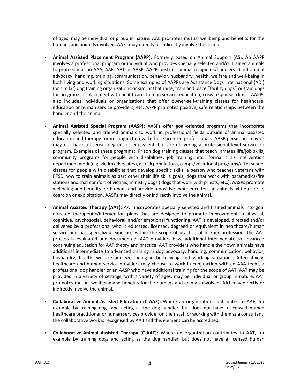of ages, may be individual or group in nature. AAE promotes mutual wellbeing and benefits for the humans and animals involved. AAEs may directly or indirectly involve the animal.

- **Animal Assisted Placement Program (AAPP**): Formerly based on Animal Support (AS). An AAPP involves a professional program or individual who provides specially selected and/or trained animals to professionals in AAA, AAE, AAT or AASP. AAPPs instruct animal recipients/handlers about animal advocacy, handling, training, communication, behavior, husbandry, health, welfare and well-being in both living and working situations. Some examples of AAPPs are Assistance Dogs International (ADI) (or similar) dog training organizations or similar that raise, train and place "facility dogs" or train dogs for programs or placement with healthcare, human service, education, crisis response, clinics. AAPPs also includes individuals or organizations that offer owner-self-training classes for healthcare, education or human service providers, etc. AAPP promotes positive, safe relationships between the handler and the animal.
- **Animal Assisted Special Program (AASP):** AASPs offer goal-oriented programs that incorporate specially selected and trained animals to work in professional fields outside of animal assisted education and therapy or in conjunction with these licensed professionals. AASP personnel may or may not have a license, degree, or equivalent, but are delivering a professional level service or program. Examples of these programs: Prison dog training classes that teach inmates life/job skills, community programs for people with disabilities, job training, etc., formal crisis intervention department work (e.g. victim advocates), at-risk populations, camps/vocational programs/after school classes for people with disabilities that develop specific skills, a person who teaches veterans with PTSD how to train animals as part other their life skills goals, dogs that work with paramedics/fire stations and that comfort of victims, ministry dogs ( dogs that work with priests, etc.). AASPs promote wellbeing and benefits for humans and provide a positive experience for the animals without force, coercion or exploitation. AASPs may directly or indirectly involve the animal.
- **Animal Assisted Therapy (AAT):** AAT incorporates specially selected and trained animals into goal directed therapeutic/intervention plans that are designed to promote improvement in physical, cognitive, psychosocial, behavioral, and/or emotional functioning. AAT is developed, directed and/or delivered by a professional who is educated, licensed, degreed or equivalent in healthcare/human service and has specialized expertise within the scope of practice of his/her profession; the AAT process is evaluated and documented. AAT providers have additional intermediate to advanced continuing education for AAT theory and practice. AAT providers who handle their own animals have additional intermediate to advanced training in dog advocacy, handling, communication, behavior, husbandry, health, welfare and well-being in both living and working situations. Alternatively, healthcare and human service providers may choose to work in conjunction with an AAA team, a professional dog handler or an AASP who have additional training for the scope of AAT. AAT may be provided in a variety of settings, with a variety of ages, may be individual or group in nature. AAT promotes mutual wellbeing and benefits for the humans and animals involved. AAT may directly or indirectly involve the animal.
- **Collaborative-Animal Assisted Education (C-AAE):** Where an organization contributes to AAE, for example by training dogs and acting as the dog handler, but does not have a licensed human healthcare practitioner or human services provider on their staff or working with them as a consultant, the collaborative work is recognised by AAII and this element can be accredited.
- **Collaborative-Animal Assisted Therapy (C-AAT):** Where an organization contributes to AAT, for example by training dogs and acting as the dog handler, but does not have a licensed human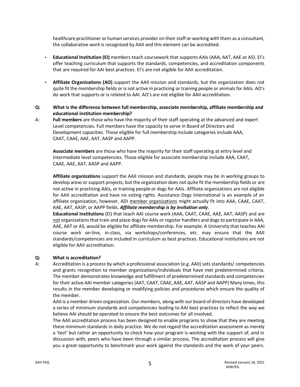healthcare practitioner or human services provider on their staff or working with them as a consultant, the collaborative work is recognised by AAII and this element can be accredited.

- **Educational Institution (EI)** members teach coursework that supports AAIs (AAA, AAT, AAE or AS). EI's offer teaching curriculum that supports the standards, competencies, and accreditation components that are required for AAI best practices. EI's are not eligible for AAII accreditation.
- **Affiliate Organizations (AO)** support the AAII mission and standards, but the organization does not quite fit the membership fields or is not active in practicing or training people or animals for AAIs. AO's do work that supports or is related to AAI. AO's are not eligible for AAII accreditation.
- **Q: What is the difference between full membership, associate membership, affiliate membership and educational institution membership?**
- A: **Full members** are those who have the majority of their staff operating at the advanced and expert Level competencies. Full members have the capacity to serve in Board of Directors and Development capacities. Those eligible for full membership include categories include AAA, CAAT, CAAE, AAE, AAT, AASP and AAPP.

**Associate members** are those who have the majority for their staff operating at entry level and Intermediate level competencies. Those eligible for associate membership include AAA, CAAT, CAAE, AAE, AAT, AASP and AAPP.

**Affiliate organizations** support the AAII mission and standards, people may be in working groups to develop areas or support projects, but the organization does not quite fit the membership fields or are not active in practicing AAIs, or training people or dogs for AAIs. Affiliate organizations are not eligible for AAII accreditation and have no voting rights. Assistance Dogs International is an example of an affiliate organization, however, ADI member organizations might actually fit into AAA, CAAE, CAAT, AAE, AAT, AASP, or AAPP fields. *Affiliate membership is by invitation only*.

**Educational Institutions** (EI) that teach AAI course work (AAA, CAAT, CAAE, AAE, AAT, AASP) and are not organizations that train and place dogs for AAIs or register handlers and dogs to participate in AAA, AAE, AAT or AS, would be eligible for affiliate membership. For example: A University that teaches AAI course work on-line, in-class, via workshops/conferences, etc. may ensure that the AAII standards/competencies are included in curriculum as best practices. Educational institutions are not eligible for AAII accreditation.

## **Q: What is accreditation?**

A: Accreditation is a process by which a professional association (e.g. AAII) sets standards/ competencies and grants recognition to member organizations/individuals that have met predetermined criteria. The member demonstrates knowledge and fulfillment of predetermined standards and competencies for their active AAI member categories (AAT, CAAT, CAAE, AAE, AAT, AASP and AAPP) Many times, this results in the member developing or modifying policies and procedures which ensure the quality of the member.

AAII is a member driven organization. Our members, along with our board of directors have developed a series of minimum standards and competencies leading to AAI best practices to reflect the way we believe AAI should be operated to ensure the best outcomes for all involved.

The AAII accreditation process has been designed to enable programs to show that they are meeting these minimum standards in daily practice. We do not regard the accreditation assessment as merely a 'test' but rather an opportunity to check how your program is working with the support of, and in discussion with, peers who have been through a similar process. The accreditation process will give you a great opportunity to benchmark your work against the standards and the work of your peers.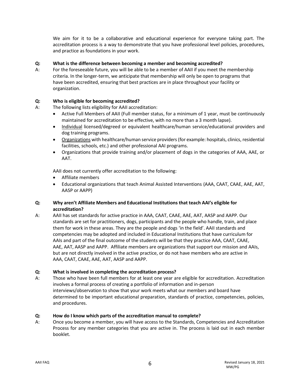We aim for it to be a collaborative and educational experience for everyone taking part. The accreditation process is a way to demonstrate that you have professional level policies, procedures, and practice as foundations in your work.

## **Q: What is the difference between becoming a member and becoming accredited?**

A: For the foreseeable future, you will be able to be a member of AAII if you meet the membership criteria. In the longer-term, we anticipate that membership will only be open to programs that have been accredited, ensuring that best practices are in place throughout your facility or organization.

## **Q: Who is eligible for becoming accredited?**

- A: The following lists eligibility for AAII accreditation:
	- Active Full Members of AAII (Full member status, for a minimum of 1 year, must be continuously maintained for accreditation to be effective, with no more than a 3 month lapse).
	- Individual licensed/degreed or equivalent healthcare/human service/educational providers and dog training programs.
	- Organizations with healthcare/human service providers (for example: hospitals, clinics, residential facilities, schools, etc.) and other professional AAI programs.
	- Organizations that provide training and/or placement of dogs in the categories of AAA, AAE, or AAT.

AAII does not currently offer accreditation to the following:

- Affiliate members
- Educational organizations that teach Animal Assisted Interventions (AAA, CAAT, CAAE, AAE, AAT, AASP or AAPP)

## **Q: Why aren't Affiliate Members and Educational Institutions that teach AAI's eligible for accreditation?**

A: AAII has set standards for active practice in AAA, CAAT, CAAE, AAE, AAT, AASP and AAPP. Our standards are set for practitioners, dogs, participants and the people who handle, train, and place them for work in these areas. They are the people and dogs 'in the field'. AAII standards and competencies may be adopted and included in Educational Institutions that have curriculum for AAIs and part of the final outcome of the students will be that they practice AAA, CAAT, CAAE, AAE, AAT, AASP and AAPP. Affiliate members are organizations that support our mission and AAIs, but are not directly involved in the active practice, or do not have members who are active in AAA, CAAT, CAAE, AAE, AAT, AASP and AAPP.

## **Q: What is involved in completing the accreditation process?**

A: Those who have been full members for at least one year are eligible for accreditation. Accreditation involves a formal process of creating a portfolio of information and in-person interviews/observation to show that your work meets what our members and board have determined to be important educational preparation, standards of practice, competencies, policies, and procedures.

## **Q: How do I know which parts of the accreditation manual to complete?**

A: Once you become a member, you will have access to the Standards, Competencies and Accreditation Process for any member categories that you are active in. The process is laid out in each member booklet.